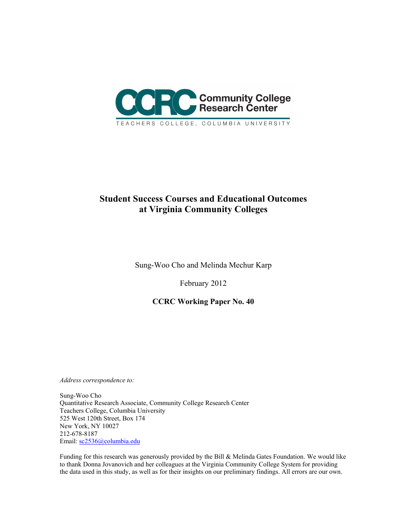

# **Student Success Courses and Educational Outcomes at Virginia Community Colleges**

Sung-Woo Cho and Melinda Mechur Karp

February 2012

**CCRC Working Paper No. 40**

*Address correspondence to:*

Sung-Woo Cho Quantitative Research Associate, Community College Research Center Teachers College, Columbia University 525 West 120th Street, Box 174 New York, NY 10027 212-678-8187 Email: [sc2536@columbia.edu](mailto:sc2536@columbia.edu)

Funding for this research was generously provided by the Bill & Melinda Gates Foundation. We would like to thank Donna Jovanovich and her colleagues at the Virginia Community College System for providing the data used in this study, as well as for their insights on our preliminary findings. All errors are our own.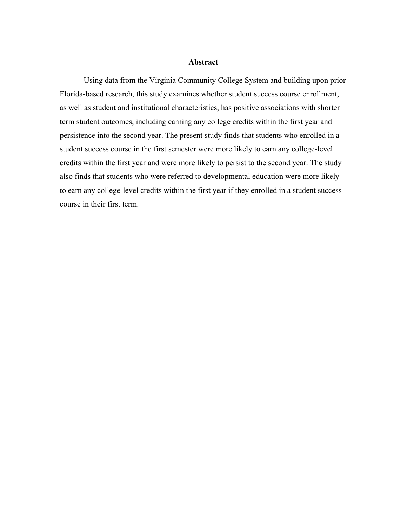### **Abstract**

Using data from the Virginia Community College System and building upon prior Florida-based research, this study examines whether student success course enrollment, as well as student and institutional characteristics, has positive associations with shorter term student outcomes, including earning any college credits within the first year and persistence into the second year. The present study finds that students who enrolled in a student success course in the first semester were more likely to earn any college-level credits within the first year and were more likely to persist to the second year. The study also finds that students who were referred to developmental education were more likely to earn any college-level credits within the first year if they enrolled in a student success course in their first term.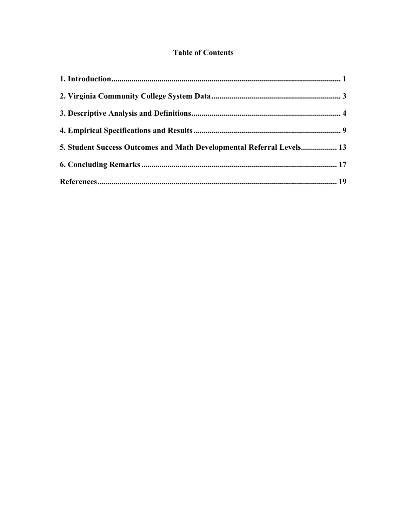# **Table of Contents**

| 5. Student Success Outcomes and Math Developmental Referral Levels 13 |  |
|-----------------------------------------------------------------------|--|
|                                                                       |  |
|                                                                       |  |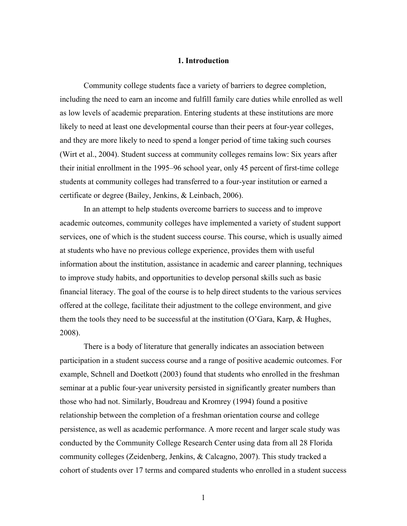#### **1. Introduction**

<span id="page-4-0"></span>Community college students face a variety of barriers to degree completion, including the need to earn an income and fulfill family care duties while enrolled as well as low levels of academic preparation. Entering students at these institutions are more likely to need at least one developmental course than their peers at four-year colleges, and they are more likely to need to spend a longer period of time taking such courses (Wirt et al., 2004). Student success at community colleges remains low: Six years after their initial enrollment in the 1995–96 school year, only 45 percent of first-time college students at community colleges had transferred to a four-year institution or earned a certificate or degree (Bailey, Jenkins, & Leinbach, 2006).

In an attempt to help students overcome barriers to success and to improve academic outcomes, community colleges have implemented a variety of student support services, one of which is the student success course. This course, which is usually aimed at students who have no previous college experience, provides them with useful information about the institution, assistance in academic and career planning, techniques to improve study habits, and opportunities to develop personal skills such as basic financial literacy. The goal of the course is to help direct students to the various services offered at the college, facilitate their adjustment to the college environment, and give them the tools they need to be successful at the institution (O'Gara, Karp, & Hughes, 2008).

There is a body of literature that generally indicates an association between participation in a student success course and a range of positive academic outcomes. For example, Schnell and Doetkott (2003) found that students who enrolled in the freshman seminar at a public four-year university persisted in significantly greater numbers than those who had not. Similarly, Boudreau and Kromrey (1994) found a positive relationship between the completion of a freshman orientation course and college persistence, as well as academic performance. A more recent and larger scale study was conducted by the Community College Research Center using data from all 28 Florida community colleges (Zeidenberg, Jenkins, & Calcagno, 2007). This study tracked a cohort of students over 17 terms and compared students who enrolled in a student success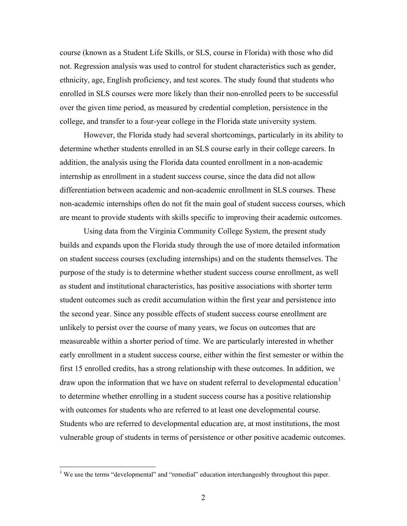course (known as a Student Life Skills, or SLS, course in Florida) with those who did not. Regression analysis was used to control for student characteristics such as gender, ethnicity, age, English proficiency, and test scores. The study found that students who enrolled in SLS courses were more likely than their non-enrolled peers to be successful over the given time period, as measured by credential completion, persistence in the college, and transfer to a four-year college in the Florida state university system.

However, the Florida study had several shortcomings, particularly in its ability to determine whether students enrolled in an SLS course early in their college careers. In addition, the analysis using the Florida data counted enrollment in a non-academic internship as enrollment in a student success course, since the data did not allow differentiation between academic and non-academic enrollment in SLS courses. These non-academic internships often do not fit the main goal of student success courses, which are meant to provide students with skills specific to improving their academic outcomes.

Using data from the Virginia Community College System, the present study builds and expands upon the Florida study through the use of more detailed information on student success courses (excluding internships) and on the students themselves. The purpose of the study is to determine whether student success course enrollment, as well as student and institutional characteristics, has positive associations with shorter term student outcomes such as credit accumulation within the first year and persistence into the second year. Since any possible effects of student success course enrollment are unlikely to persist over the course of many years, we focus on outcomes that are measureable within a shorter period of time. We are particularly interested in whether early enrollment in a student success course, either within the first semester or within the first 15 enrolled credits, has a strong relationship with these outcomes. In addition, we draw upon the information that we have on student referral to developmental education<sup>[1](#page-5-0)</sup> to determine whether enrolling in a student success course has a positive relationship with outcomes for students who are referred to at least one developmental course. Students who are referred to developmental education are, at most institutions, the most vulnerable group of students in terms of persistence or other positive academic outcomes.

<span id="page-5-0"></span><sup>&</sup>lt;sup>1</sup> We use the terms "developmental" and "remedial" education interchangeably throughout this paper.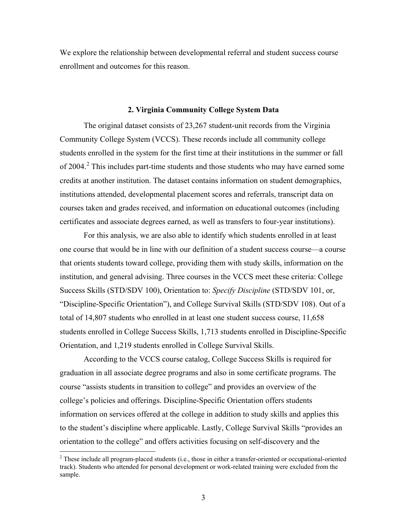We explore the relationship between developmental referral and student success course enrollment and outcomes for this reason.

#### **2. Virginia Community College System Data**

<span id="page-6-0"></span>The original dataset consists of 23,267 student-unit records from the Virginia Community College System (VCCS). These records include all community college students enrolled in the system for the first time at their institutions in the summer or fall of [2](#page-6-1)004.<sup>2</sup> This includes part-time students and those students who may have earned some credits at another institution. The dataset contains information on student demographics, institutions attended, developmental placement scores and referrals, transcript data on courses taken and grades received, and information on educational outcomes (including certificates and associate degrees earned, as well as transfers to four-year institutions).

For this analysis, we are also able to identify which students enrolled in at least one course that would be in line with our definition of a student success course—a course that orients students toward college, providing them with study skills, information on the institution, and general advising. Three courses in the VCCS meet these criteria: College Success Skills (STD/SDV 100), Orientation to: *Specify Discipline* (STD/SDV 101, or, "Discipline-Specific Orientation"), and College Survival Skills (STD/SDV 108). Out of a total of 14,807 students who enrolled in at least one student success course, 11,658 students enrolled in College Success Skills, 1,713 students enrolled in Discipline-Specific Orientation, and 1,219 students enrolled in College Survival Skills.

According to the VCCS course catalog, College Success Skills is required for graduation in all associate degree programs and also in some certificate programs. The course "assists students in transition to college" and provides an overview of the college's policies and offerings. Discipline-Specific Orientation offers students information on services offered at the college in addition to study skills and applies this to the student's discipline where applicable. Lastly, College Survival Skills "provides an orientation to the college" and offers activities focusing on self-discovery and the

<span id="page-6-1"></span> $2$  These include all program-placed students (i.e., those in either a transfer-oriented or occupational-oriented track). Students who attended for personal development or work-related training were excluded from the sample.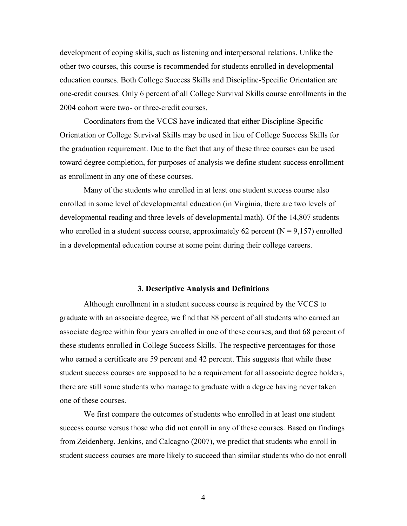development of coping skills, such as listening and interpersonal relations. Unlike the other two courses, this course is recommended for students enrolled in developmental education courses. Both College Success Skills and Discipline-Specific Orientation are one-credit courses. Only 6 percent of all College Survival Skills course enrollments in the 2004 cohort were two- or three-credit courses.

Coordinators from the VCCS have indicated that either Discipline-Specific Orientation or College Survival Skills may be used in lieu of College Success Skills for the graduation requirement. Due to the fact that any of these three courses can be used toward degree completion, for purposes of analysis we define student success enrollment as enrollment in any one of these courses.

Many of the students who enrolled in at least one student success course also enrolled in some level of developmental education (in Virginia, there are two levels of developmental reading and three levels of developmental math). Of the 14,807 students who enrolled in a student success course, approximately 62 percent  $(N = 9,157)$  enrolled in a developmental education course at some point during their college careers.

# **3. Descriptive Analysis and Definitions**

<span id="page-7-0"></span>Although enrollment in a student success course is required by the VCCS to graduate with an associate degree, we find that 88 percent of all students who earned an associate degree within four years enrolled in one of these courses, and that 68 percent of these students enrolled in College Success Skills. The respective percentages for those who earned a certificate are 59 percent and 42 percent. This suggests that while these student success courses are supposed to be a requirement for all associate degree holders, there are still some students who manage to graduate with a degree having never taken one of these courses.

We first compare the outcomes of students who enrolled in at least one student success course versus those who did not enroll in any of these courses. Based on findings from Zeidenberg, Jenkins, and Calcagno (2007), we predict that students who enroll in student success courses are more likely to succeed than similar students who do not enroll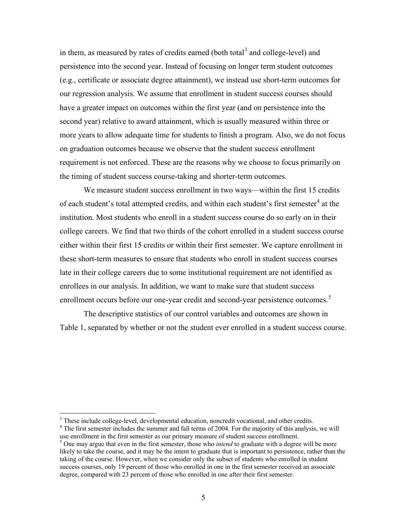in them, as measured by rates of credits earned (both total<sup>[3](#page-8-0)</sup> and college-level) and persistence into the second year. Instead of focusing on longer term student outcomes (e.g., certificate or associate degree attainment), we instead use short-term outcomes for our regression analysis. We assume that enrollment in student success courses should have a greater impact on outcomes within the first year (and on persistence into the second year) relative to award attainment, which is usually measured within three or more years to allow adequate time for students to finish a program. Also, we do not focus on graduation outcomes because we observe that the student success enrollment requirement is not enforced. These are the reasons why we choose to focus primarily on the timing of student success course-taking and shorter-term outcomes.

We measure student success enrollment in two ways—within the first 15 credits of each student's total attempted credits, and within each student's first semester<sup>[4](#page-8-1)</sup> at the institution. Most students who enroll in a student success course do so early on in their college careers. We find that two thirds of the cohort enrolled in a student success course either within their first 15 credits or within their first semester. We capture enrollment in these short-term measures to ensure that students who enroll in student success courses late in their college careers due to some institutional requirement are not identified as enrollees in our analysis. In addition, we want to make sure that student success enrollment occurs before our one-year credit and second-year persistence outcomes.<sup>[5](#page-8-2)</sup>

The descriptive statistics of our control variables and outcomes are shown in Table 1, separated by whether or not the student ever enrolled in a student success course.

<span id="page-8-0"></span> $3<sup>3</sup>$  These include college-level, developmental education, noncredit vocational, and other credits.  $4<sup>4</sup>$  The first semester includes the summer and fall terms of 2004. For the majority of this analysis, we wil

<span id="page-8-1"></span>use enrollment in the first semester as our primary measure of student success enrollment.

<span id="page-8-2"></span><sup>5</sup> One may argue that even in the first semester, those who *intend* to graduate with a degree will be more likely to take the course, and it may be the intent to graduate that is important to persistence, rather than the taking of the course. However, when we consider only the subset of students who enrolled in student success courses, only 19 percent of those who enrolled in one in the first semester received an associate degree, compared with 23 percent of those who enrolled in one after their first semester.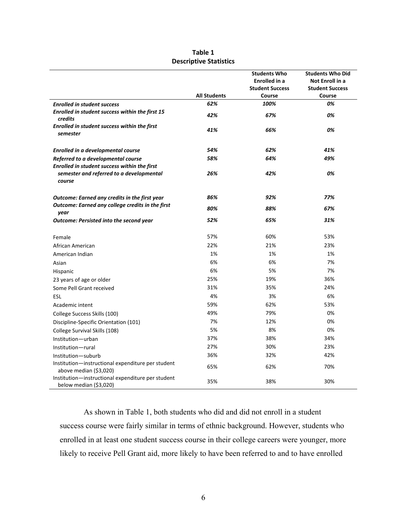|                                                                                                    |                     | <b>Students Who</b><br>Enrolled in a | <b>Students Who Did</b><br>Not Enroll in a |
|----------------------------------------------------------------------------------------------------|---------------------|--------------------------------------|--------------------------------------------|
|                                                                                                    |                     | <b>Student Success</b>               | <b>Student Success</b>                     |
|                                                                                                    | <b>All Students</b> | Course                               | Course                                     |
| <b>Enrolled in student success</b>                                                                 | 62%                 | 100%                                 | 0%                                         |
| Enrolled in student success within the first 15<br>credits                                         | 42%                 | 67%                                  | 0%                                         |
| Enrolled in student success within the first<br>semester                                           | 41%                 | 66%                                  | 0%                                         |
| <b>Enrolled in a developmental course</b>                                                          | 54%                 | 62%                                  | 41%                                        |
| Referred to a developmental course                                                                 | 58%                 | 64%                                  | 49%                                        |
| Enrolled in student success within the first<br>semester and referred to a developmental<br>course | 26%                 | 42%                                  | 0%                                         |
| Outcome: Earned any credits in the first year                                                      | 86%                 | 92%                                  | 77%                                        |
| Outcome: Earned any college credits in the first<br>year                                           | 80%                 | 88%                                  | 67%                                        |
| <b>Outcome: Persisted into the second year</b>                                                     | 52%                 | 65%                                  | 31%                                        |
| Female                                                                                             | 57%                 | 60%                                  | 53%                                        |
| African American                                                                                   | 22%                 | 21%                                  | 23%                                        |
| American Indian                                                                                    | 1%                  | 1%                                   | 1%                                         |
| Asian                                                                                              | 6%                  | 6%                                   | 7%                                         |
| Hispanic                                                                                           | 6%                  | 5%                                   | 7%                                         |
| 23 years of age or older                                                                           | 25%                 | 19%                                  | 36%                                        |
| Some Pell Grant received                                                                           | 31%                 | 35%                                  | 24%                                        |
| ESL                                                                                                | 4%                  | 3%                                   | 6%                                         |
| Academic intent                                                                                    | 59%                 | 62%                                  | 53%                                        |
| College Success Skills (100)                                                                       | 49%                 | 79%                                  | 0%                                         |
| Discipline-Specific Orientation (101)                                                              | 7%                  | 12%                                  | 0%                                         |
| College Survival Skills (108)                                                                      | 5%                  | 8%                                   | 0%                                         |
| Institution-urban                                                                                  | 37%                 | 38%                                  | 34%                                        |
| Institution-rural                                                                                  | 27%                 | 30%                                  | 23%                                        |
| Institution-suburb                                                                                 | 36%                 | 32%                                  | 42%                                        |
| Institution-instructional expenditure per student<br>above median (\$3,020)                        | 65%                 | 62%                                  | 70%                                        |
| Institution-instructional expenditure per student<br>below median (\$3,020)                        | 35%                 | 38%                                  | 30%                                        |

#### **Table 1 Descriptive Statistics**

As shown in Table 1, both students who did and did not enroll in a student success course were fairly similar in terms of ethnic background. However, students who enrolled in at least one student success course in their college careers were younger, more likely to receive Pell Grant aid, more likely to have been referred to and to have enrolled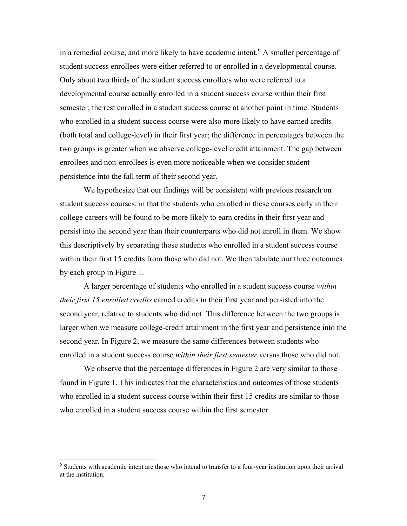in a remedial course, and more likely to have academic intent.<sup>[6](#page-10-0)</sup> A smaller percentage of student success enrollees were either referred to or enrolled in a developmental course. Only about two thirds of the student success enrollees who were referred to a developmental course actually enrolled in a student success course within their first semester; the rest enrolled in a student success course at another point in time. Students who enrolled in a student success course were also more likely to have earned credits (both total and college-level) in their first year; the difference in percentages between the two groups is greater when we observe college-level credit attainment. The gap between enrollees and non-enrollees is even more noticeable when we consider student persistence into the fall term of their second year.

We hypothesize that our findings will be consistent with previous research on student success courses, in that the students who enrolled in these courses early in their college careers will be found to be more likely to earn credits in their first year and persist into the second year than their counterparts who did not enroll in them. We show this descriptively by separating those students who enrolled in a student success course within their first 15 credits from those who did not. We then tabulate our three outcomes by each group in Figure 1.

A larger percentage of students who enrolled in a student success course *within their first 15 enrolled credits* earned credits in their first year and persisted into the second year, relative to students who did not. This difference between the two groups is larger when we measure college-credit attainment in the first year and persistence into the second year. In Figure 2, we measure the same differences between students who enrolled in a student success course *within their first semester* versus those who did not.

We observe that the percentage differences in Figure 2 are very similar to those found in Figure 1. This indicates that the characteristics and outcomes of those students who enrolled in a student success course within their first 15 credits are similar to those who enrolled in a student success course within the first semester.

<span id="page-10-0"></span> <sup>6</sup> Students with academic intent are those who intend to transfer to a four-year institution upon their arrival at the institution.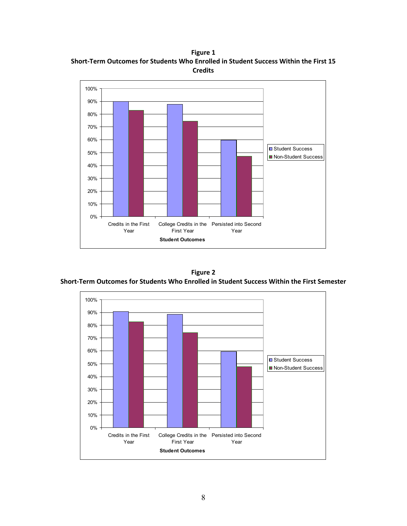**Figure 1 Short-Term Outcomes for Students Who Enrolled in Student Success Within the First 15 Credits**



**Figure 2 Short-Term Outcomes for Students Who Enrolled in Student Success Within the First Semester**

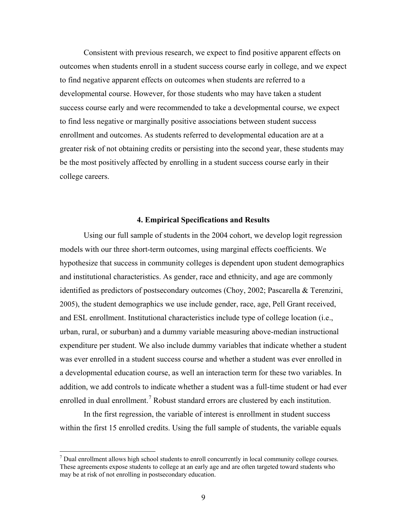Consistent with previous research, we expect to find positive apparent effects on outcomes when students enroll in a student success course early in college, and we expect to find negative apparent effects on outcomes when students are referred to a developmental course. However, for those students who may have taken a student success course early and were recommended to take a developmental course, we expect to find less negative or marginally positive associations between student success enrollment and outcomes. As students referred to developmental education are at a greater risk of not obtaining credits or persisting into the second year, these students may be the most positively affected by enrolling in a student success course early in their college careers.

#### **4. Empirical Specifications and Results**

<span id="page-12-0"></span>Using our full sample of students in the 2004 cohort, we develop logit regression models with our three short-term outcomes, using marginal effects coefficients. We hypothesize that success in community colleges is dependent upon student demographics and institutional characteristics. As gender, race and ethnicity, and age are commonly identified as predictors of postsecondary outcomes (Choy, 2002; Pascarella & Terenzini, 2005), the student demographics we use include gender, race, age, Pell Grant received, and ESL enrollment. Institutional characteristics include type of college location (i.e., urban, rural, or suburban) and a dummy variable measuring above-median instructional expenditure per student. We also include dummy variables that indicate whether a student was ever enrolled in a student success course and whether a student was ever enrolled in a developmental education course, as well an interaction term for these two variables. In addition, we add controls to indicate whether a student was a full-time student or had ever enrolled in dual enrollment.<sup>[7](#page-12-1)</sup> Robust standard errors are clustered by each institution.

In the first regression, the variable of interest is enrollment in student success within the first 15 enrolled credits. Using the full sample of students, the variable equals

<span id="page-12-1"></span> $<sup>7</sup>$  Dual enrollment allows high school students to enroll concurrently in local community college courses.</sup> These agreements expose students to college at an early age and are often targeted toward students who may be at risk of not enrolling in postsecondary education.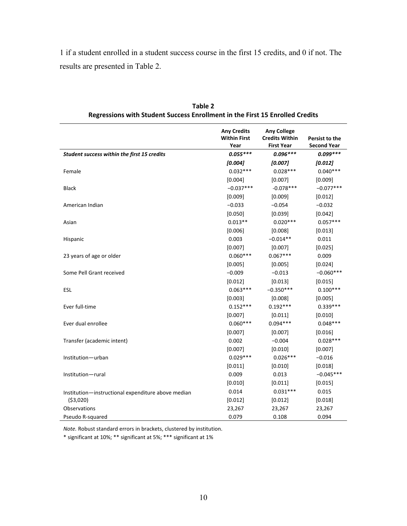1 if a student enrolled in a student success course in the first 15 credits, and 0 if not. The results are presented in Table 2.

|                                                    | <b>Any Credits</b><br><b>Within First</b><br>Year | <b>Any College</b><br><b>Credits Within</b><br><b>First Year</b> | Persist to the<br><b>Second Year</b> |
|----------------------------------------------------|---------------------------------------------------|------------------------------------------------------------------|--------------------------------------|
| Student success within the first 15 credits        | $0.055***$                                        | $0.096***$                                                       | $0.099***$                           |
|                                                    | [0.004]                                           | [0.007]                                                          | [0.012]                              |
| Female                                             | $0.032***$                                        | $0.028***$                                                       | $0.040***$                           |
|                                                    | [0.004]                                           | [0.007]                                                          | [0.009]                              |
| <b>Black</b>                                       | $-0.037***$                                       | $-0.078***$                                                      | $-0.077***$                          |
|                                                    | [0.009]                                           | [0.009]                                                          | [0.012]                              |
| American Indian                                    | $-0.033$                                          | $-0.054$                                                         | $-0.032$                             |
|                                                    | [0.050]                                           | [0.039]                                                          | [0.042]                              |
| Asian                                              | $0.013**$                                         | $0.020***$                                                       | $0.057***$                           |
|                                                    | [0.006]                                           | [0.008]                                                          | [0.013]                              |
| Hispanic                                           | 0.003                                             | $-0.014**$                                                       | 0.011                                |
|                                                    | [0.007]                                           | [0.007]                                                          | [0.025]                              |
| 23 years of age or older                           | $0.060***$                                        | $0.067***$                                                       | 0.009                                |
|                                                    | [0.005]                                           | [0.005]                                                          | [0.024]                              |
| Some Pell Grant received                           | $-0.009$                                          | $-0.013$                                                         | $-0.060***$                          |
|                                                    | [0.012]                                           | [0.013]                                                          | [0.015]                              |
| <b>ESL</b>                                         | $0.063***$                                        | $-0.350***$                                                      | $0.100***$                           |
|                                                    | [0.003]                                           | [0.008]                                                          | [0.005]                              |
| Ever full-time                                     | $0.152***$                                        | $0.192***$                                                       | $0.339***$                           |
|                                                    | [0.007]                                           | [0.011]                                                          | [0.010]                              |
| Ever dual enrollee                                 | $0.060***$                                        | $0.094***$                                                       | $0.048***$                           |
|                                                    | [0.007]                                           | [0.007]                                                          | [0.016]                              |
| Transfer (academic intent)                         | 0.002                                             | $-0.004$                                                         | $0.028***$                           |
|                                                    | [0.007]                                           | [0.010]                                                          | [0.007]                              |
| Institution-urban                                  | $0.029***$                                        | $0.026***$                                                       | $-0.016$                             |
|                                                    | [0.011]                                           | [0.010]                                                          | [0.018]                              |
| Institution-rural                                  | 0.009                                             | 0.013                                                            | $-0.045***$                          |
|                                                    | [0.010]                                           | [0.011]                                                          | [0.015]                              |
| Institution-instructional expenditure above median | 0.014                                             | $0.031***$                                                       | 0.015                                |
| ( \$3,020)                                         | [0.012]                                           | [0.012]                                                          | [0.018]                              |
| <b>Observations</b>                                | 23,267                                            | 23,267                                                           | 23,267                               |
| Pseudo R-squared                                   | 0.079                                             | 0.108                                                            | 0.094                                |

**Table 2 Regressions with Student Success Enrollment in the First 15 Enrolled Credits**

*Note.* Robust standard errors in brackets, clustered by institution.

\* significant at 10%; \*\* significant at 5%; \*\*\* significant at 1%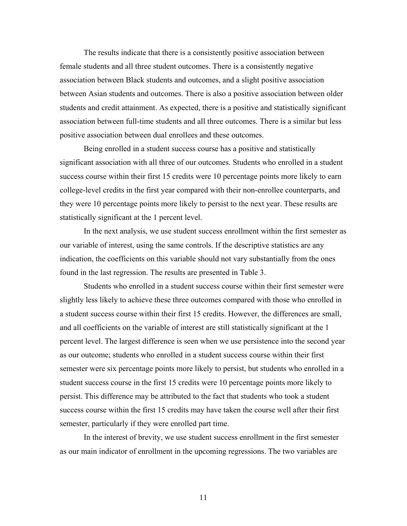The results indicate that there is a consistently positive association between female students and all three student outcomes. There is a consistently negative association between Black students and outcomes, and a slight positive association between Asian students and outcomes. There is also a positive association between older students and credit attainment. As expected, there is a positive and statistically significant association between full-time students and all three outcomes. There is a similar but less positive association between dual enrollees and these outcomes.

Being enrolled in a student success course has a positive and statistically significant association with all three of our outcomes. Students who enrolled in a student success course within their first 15 credits were 10 percentage points more likely to earn college-level credits in the first year compared with their non-enrollee counterparts, and they were 10 percentage points more likely to persist to the next year. These results are statistically significant at the 1 percent level.

In the next analysis, we use student success enrollment within the first semester as our variable of interest, using the same controls. If the descriptive statistics are any indication, the coefficients on this variable should not vary substantially from the ones found in the last regression. The results are presented in Table 3.

Students who enrolled in a student success course within their first semester were slightly less likely to achieve these three outcomes compared with those who enrolled in a student success course within their first 15 credits. However, the differences are small, and all coefficients on the variable of interest are still statistically significant at the 1 percent level. The largest difference is seen when we use persistence into the second year as our outcome; students who enrolled in a student success course within their first semester were six percentage points more likely to persist, but students who enrolled in a student success course in the first 15 credits were 10 percentage points more likely to persist. This difference may be attributed to the fact that students who took a student success course within the first 15 credits may have taken the course well after their first semester, particularly if they were enrolled part time.

In the interest of brevity, we use student success enrollment in the first semester as our main indicator of enrollment in the upcoming regressions. The two variables are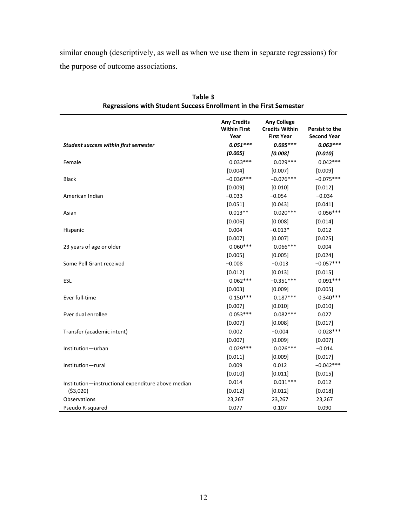similar enough (descriptively, as well as when we use them in separate regressions) for the purpose of outcome associations.

|                                                    | <b>Any Credits</b><br><b>Within First</b><br>Year | <b>Any College</b><br><b>Credits Within</b><br><b>First Year</b> | Persist to the<br><b>Second Year</b> |
|----------------------------------------------------|---------------------------------------------------|------------------------------------------------------------------|--------------------------------------|
| Student success within first semester              | $0.051***$                                        | $0.095***$                                                       | $0.063***$                           |
|                                                    | [0.005]                                           | [0.008]                                                          | [0.010]                              |
| Female                                             | $0.033***$                                        | $0.029***$                                                       | $0.042***$                           |
|                                                    | [0.004]                                           | [0.007]                                                          | [0.009]                              |
| <b>Black</b>                                       | $-0.036***$                                       | $-0.076***$                                                      | $-0.075***$                          |
|                                                    | [0.009]                                           | [0.010]                                                          | [0.012]                              |
| American Indian                                    | $-0.033$                                          | $-0.054$                                                         | $-0.034$                             |
|                                                    | [0.051]                                           | [0.043]                                                          | [0.041]                              |
| Asian                                              | $0.013**$                                         | $0.020***$                                                       | $0.056***$                           |
|                                                    | [0.006]                                           | [0.008]                                                          | [0.014]                              |
| Hispanic                                           | 0.004                                             | $-0.013*$                                                        | 0.012                                |
|                                                    | [0.007]                                           | [0.007]                                                          | [0.025]                              |
| 23 years of age or older                           | $0.060***$                                        | $0.066***$                                                       | 0.004                                |
|                                                    | [0.005]                                           | [0.005]                                                          | [0.024]                              |
| Some Pell Grant received                           | $-0.008$                                          | $-0.013$                                                         | $-0.057***$                          |
|                                                    | [0.012]                                           | [0.013]                                                          | [0.015]                              |
| ESL                                                | $0.062***$                                        | $-0.351***$                                                      | $0.091***$                           |
|                                                    | [0.003]                                           | [0.009]                                                          | [0.005]                              |
| Ever full-time                                     | $0.150***$                                        | $0.187***$                                                       | $0.340***$                           |
|                                                    | [0.007]                                           | [0.010]                                                          | [0.010]                              |
| Ever dual enrollee                                 | $0.053***$                                        | $0.082***$                                                       | 0.027                                |
|                                                    | [0.007]                                           | [0.008]                                                          | [0.017]                              |
| Transfer (academic intent)                         | 0.002                                             | $-0.004$                                                         | $0.028***$                           |
|                                                    | [0.007]                                           | [0.009]                                                          | [0.007]                              |
| Institution-urban                                  | $0.029***$                                        | $0.026***$                                                       | $-0.014$                             |
|                                                    | [0.011]                                           | [0.009]                                                          | [0.017]                              |
| Institution-rural                                  | 0.009                                             | 0.012                                                            | $-0.042***$                          |
|                                                    | [0.010]                                           | [0.011]                                                          | [0.015]                              |
| Institution-instructional expenditure above median | 0.014                                             | $0.031***$                                                       | 0.012                                |
| ( \$3,020)                                         | [0.012]                                           | [0.012]                                                          | [0.018]                              |
| Observations                                       | 23,267                                            | 23,267                                                           | 23,267                               |
| Pseudo R-squared                                   | 0.077                                             | 0.107                                                            | 0.090                                |

**Table 3 Regressions with Student Success Enrollment in the First Semester**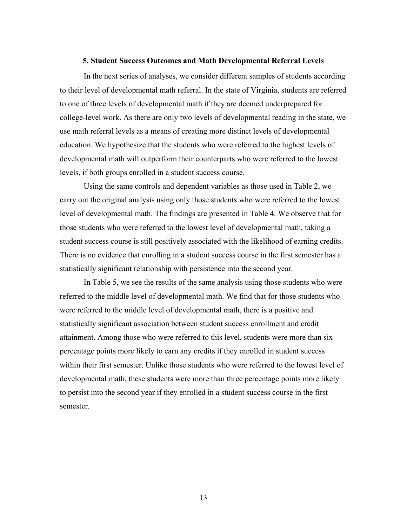#### **5. Student Success Outcomes and Math Developmental Referral Levels**

<span id="page-16-0"></span>In the next series of analyses, we consider different samples of students according to their level of developmental math referral. In the state of Virginia, students are referred to one of three levels of developmental math if they are deemed underprepared for college-level work. As there are only two levels of developmental reading in the state, we use math referral levels as a means of creating more distinct levels of developmental education. We hypothesize that the students who were referred to the highest levels of developmental math will outperform their counterparts who were referred to the lowest levels, if both groups enrolled in a student success course.

Using the same controls and dependent variables as those used in Table 2, we carry out the original analysis using only those students who were referred to the lowest level of developmental math. The findings are presented in Table 4. We observe that for those students who were referred to the lowest level of developmental math, taking a student success course is still positively associated with the likelihood of earning credits. There is no evidence that enrolling in a student success course in the first semester has a statistically significant relationship with persistence into the second year.

In Table 5, we see the results of the same analysis using those students who were referred to the middle level of developmental math. We find that for those students who were referred to the middle level of developmental math, there is a positive and statistically significant association between student success enrollment and credit attainment. Among those who were referred to this level, students were more than six percentage points more likely to earn any credits if they enrolled in student success within their first semester. Unlike those students who were referred to the lowest level of developmental math, these students were more than three percentage points more likely to persist into the second year if they enrolled in a student success course in the first semester.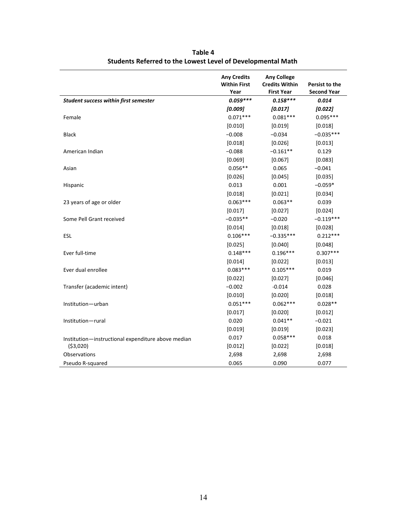|                                                    | <b>Any Credits</b><br><b>Within First</b><br>Year | <b>Any College</b><br><b>Credits Within</b><br><b>First Year</b> | Persist to the<br><b>Second Year</b> |
|----------------------------------------------------|---------------------------------------------------|------------------------------------------------------------------|--------------------------------------|
| <b>Student success within first semester</b>       | $0.059***$                                        | $0.158***$                                                       | 0.014                                |
|                                                    | [0.009]                                           | [0.017]                                                          | [0.022]                              |
| Female                                             | $0.071***$                                        | $0.081***$                                                       | $0.095***$                           |
|                                                    | [0.010]                                           | [0.019]                                                          | [0.018]                              |
| <b>Black</b>                                       | $-0.008$                                          | $-0.034$                                                         | $-0.035***$                          |
|                                                    | [0.018]                                           | [0.026]                                                          | [0.013]                              |
| American Indian                                    | $-0.088$                                          | $-0.161**$                                                       | 0.129                                |
|                                                    | [0.069]                                           | [0.067]                                                          | [0.083]                              |
| Asian                                              | $0.056**$                                         | 0.065                                                            | $-0.041$                             |
|                                                    | [0.026]                                           | [0.045]                                                          | [0.035]                              |
| Hispanic                                           | 0.013                                             | 0.001                                                            | $-0.059*$                            |
|                                                    | [0.018]                                           | [0.021]                                                          | [0.034]                              |
| 23 years of age or older                           | $0.063***$                                        | $0.063**$                                                        | 0.039                                |
|                                                    | [0.017]                                           | [0.027]                                                          | [0.024]                              |
| Some Pell Grant received                           | $-0.035**$                                        | $-0.020$                                                         | $-0.119***$                          |
|                                                    | [0.014]                                           | [0.018]                                                          | [0.028]                              |
| ESL                                                | $0.106***$                                        | $-0.335***$                                                      | $0.212***$                           |
|                                                    | [0.025]                                           | [0.040]                                                          | [0.048]                              |
| Ever full-time                                     | $0.148***$                                        | $0.196***$                                                       | $0.307***$                           |
|                                                    | [0.014]                                           | [0.022]                                                          | [0.013]                              |
| Ever dual enrollee                                 | $0.083***$                                        | $0.105***$                                                       | 0.019                                |
|                                                    | [0.022]                                           | [0.027]                                                          | [0.046]                              |
| Transfer (academic intent)                         | $-0.002$                                          | $-0.014$                                                         | 0.028                                |
|                                                    | [0.010]                                           | [0.020]                                                          | [0.018]                              |
| Institution-urban                                  | $0.051***$                                        | $0.062***$                                                       | $0.028**$                            |
|                                                    | [0.017]                                           | [0.020]                                                          | [0.012]                              |
| Institution-rural                                  | 0.020                                             | $0.041**$                                                        | $-0.021$                             |
|                                                    | [0.019]                                           | [0.019]                                                          | [0.023]                              |
| Institution-instructional expenditure above median | 0.017                                             | $0.058***$                                                       | 0.018                                |
| ( \$3,020)                                         | [0.012]                                           | [0.022]                                                          | [0.018]                              |
| <b>Observations</b>                                | 2,698                                             | 2,698                                                            | 2,698                                |
| Pseudo R-squared                                   | 0.065                                             | 0.090                                                            | 0.077                                |

**Table 4 Students Referred to the Lowest Level of Developmental Math**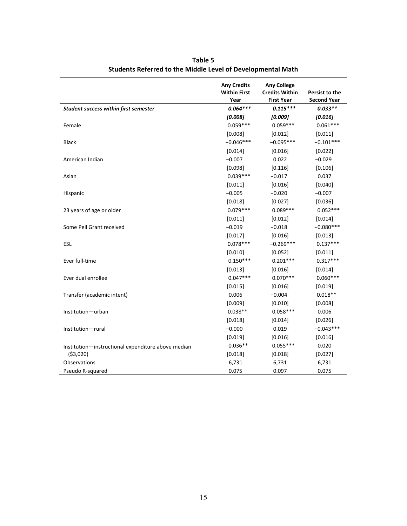|                                                    | <b>Any Credits</b><br><b>Within First</b><br>Year | <b>Any College</b><br><b>Credits Within</b><br><b>First Year</b> | Persist to the<br><b>Second Year</b> |
|----------------------------------------------------|---------------------------------------------------|------------------------------------------------------------------|--------------------------------------|
| Student success within first semester              | $0.064***$                                        | $0.115***$                                                       | $0.033**$                            |
|                                                    | [0.008]                                           | [0.009]                                                          | [0.016]                              |
| Female                                             | $0.059***$                                        | $0.059***$                                                       | $0.061***$                           |
|                                                    | [0.008]                                           | [0.012]                                                          | [0.011]                              |
| <b>Black</b>                                       | $-0.046***$                                       | $-0.095***$                                                      | $-0.101***$                          |
|                                                    | $[0.014]$                                         | [0.016]                                                          | [0.022]                              |
| American Indian                                    | $-0.007$                                          | 0.022                                                            | $-0.029$                             |
|                                                    | [0.098]                                           | [0.116]                                                          | [0.106]                              |
| Asian                                              | $0.039***$                                        | $-0.017$                                                         | 0.037                                |
|                                                    | [0.011]                                           | [0.016]                                                          | [0.040]                              |
| Hispanic                                           | $-0.005$                                          | $-0.020$                                                         | $-0.007$                             |
|                                                    | [0.018]                                           | [0.027]                                                          | [0.036]                              |
| 23 years of age or older                           | $0.079***$                                        | $0.089***$                                                       | $0.052***$                           |
|                                                    | [0.011]                                           | [0.012]                                                          | [0.014]                              |
| Some Pell Grant received                           | $-0.019$                                          | $-0.018$                                                         | $-0.080***$                          |
|                                                    | [0.017]                                           | [0.016]                                                          | [0.013]                              |
| ESL                                                | $0.078***$                                        | $-0.269***$                                                      | $0.137***$                           |
|                                                    | [0.010]                                           | [0.052]                                                          | [0.011]                              |
| Ever full-time                                     | $0.150***$                                        | $0.201***$                                                       | $0.317***$                           |
|                                                    | [0.013]                                           | [0.016]                                                          | [0.014]                              |
| Ever dual enrollee                                 | $0.047***$                                        | $0.070***$                                                       | $0.060***$                           |
|                                                    | [0.015]                                           | [0.016]                                                          | [0.019]                              |
| Transfer (academic intent)                         | 0.006                                             | $-0.004$                                                         | $0.018**$                            |
|                                                    | [0.009]                                           | [0.010]                                                          | [0.008]                              |
| Institution-urban                                  | $0.038**$                                         | $0.058***$                                                       | 0.006                                |
|                                                    | [0.018]                                           | [0.014]                                                          | [0.026]                              |
| Institution-rural                                  | $-0.000$                                          | 0.019                                                            | $-0.043***$                          |
|                                                    | [0.019]                                           | [0.016]                                                          | [0.016]                              |
| Institution-instructional expenditure above median | $0.036**$                                         | $0.055***$                                                       | 0.020                                |
| ( \$3,020)                                         | [0.018]                                           | [0.018]                                                          | [0.027]                              |
| <b>Observations</b>                                | 6,731                                             | 6,731                                                            | 6,731                                |
| Pseudo R-squared                                   | 0.075                                             | 0.097                                                            | 0.075                                |

**Table 5 Students Referred to the Middle Level of Developmental Math**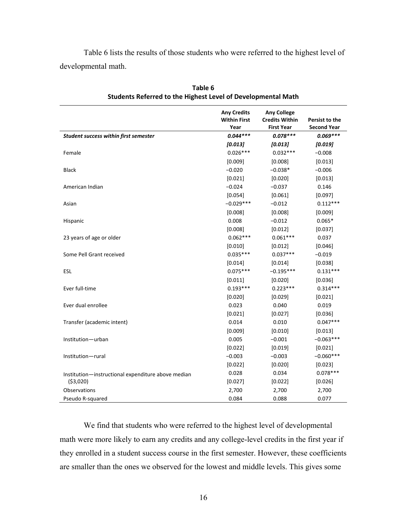Table 6 lists the results of those students who were referred to the highest level of developmental math.

|                                                    | <b>Any Credits</b><br><b>Within First</b><br>Year | <b>Any College</b><br><b>Credits Within</b><br><b>First Year</b> | Persist to the<br><b>Second Year</b> |
|----------------------------------------------------|---------------------------------------------------|------------------------------------------------------------------|--------------------------------------|
| Student success within first semester              | $0.044***$                                        | $0.078***$                                                       | $0.069***$                           |
|                                                    | [0.013]                                           | [0.013]                                                          | [0.019]                              |
| Female                                             | $0.026***$                                        | $0.032***$                                                       | $-0.008$                             |
|                                                    | [0.009]                                           | [0.008]                                                          | [0.013]                              |
| <b>Black</b>                                       | $-0.020$                                          | $-0.038*$                                                        | $-0.006$                             |
|                                                    | [0.021]                                           | [0.020]                                                          | [0.013]                              |
| American Indian                                    | $-0.024$                                          | $-0.037$                                                         | 0.146                                |
|                                                    | [0.054]                                           | [0.061]                                                          | [0.097]                              |
| Asian                                              | $-0.029***$                                       | $-0.012$                                                         | $0.112***$                           |
|                                                    | [0.008]                                           | [0.008]                                                          | [0.009]                              |
| Hispanic                                           | 0.008                                             | $-0.012$                                                         | $0.065*$                             |
|                                                    | [0.008]                                           | [0.012]                                                          | [0.037]                              |
| 23 years of age or older                           | $0.062***$                                        | $0.061***$                                                       | 0.037                                |
|                                                    | [0.010]                                           | [0.012]                                                          | [0.046]                              |
| Some Pell Grant received                           | $0.035***$                                        | $0.037***$                                                       | $-0.019$                             |
|                                                    | [0.014]                                           | [0.014]                                                          | [0.038]                              |
| ESL                                                | $0.075***$                                        | $-0.195***$                                                      | $0.131***$                           |
|                                                    | [0.011]                                           | [0.020]                                                          | [0.036]                              |
| Ever full-time                                     | $0.193***$                                        | $0.223***$                                                       | $0.314***$                           |
|                                                    | [0.020]                                           | [0.029]                                                          | [0.021]                              |
| Ever dual enrollee                                 | 0.023                                             | 0.040                                                            | 0.019                                |
|                                                    | [0.021]                                           | [0.027]                                                          | [0.036]                              |
| Transfer (academic intent)                         | 0.014                                             | 0.010                                                            | $0.047***$                           |
|                                                    | [0.009]                                           | [0.010]                                                          | [0.013]                              |
| Institution-urban                                  | 0.005                                             | $-0.001$                                                         | $-0.063***$                          |
|                                                    | [0.022]                                           | [0.019]                                                          | [0.021]                              |
| Institution-rural                                  | $-0.003$                                          | $-0.003$                                                         | $-0.060***$                          |
|                                                    | [0.022]                                           | [0.020]                                                          | [0.023]                              |
| Institution-instructional expenditure above median | 0.028                                             | 0.034                                                            | $0.078***$                           |
| ( \$3,020)                                         | [0.027]                                           | [0.022]                                                          | [0.026]                              |
| <b>Observations</b>                                | 2,700                                             | 2,700                                                            | 2,700                                |
| Pseudo R-squared                                   | 0.084                                             | 0.088                                                            | 0.077                                |

**Table 6 Students Referred to the Highest Level of Developmental Math**

We find that students who were referred to the highest level of developmental math were more likely to earn any credits and any college-level credits in the first year if they enrolled in a student success course in the first semester. However, these coefficients are smaller than the ones we observed for the lowest and middle levels. This gives some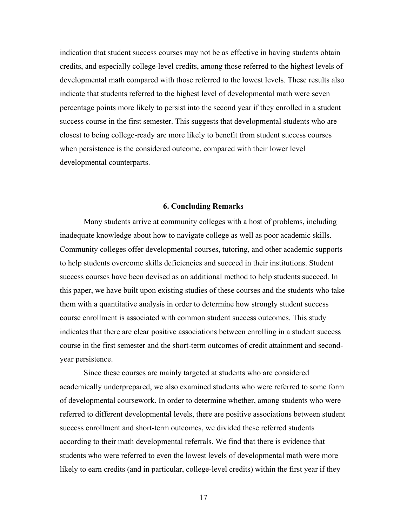indication that student success courses may not be as effective in having students obtain credits, and especially college-level credits, among those referred to the highest levels of developmental math compared with those referred to the lowest levels. These results also indicate that students referred to the highest level of developmental math were seven percentage points more likely to persist into the second year if they enrolled in a student success course in the first semester. This suggests that developmental students who are closest to being college-ready are more likely to benefit from student success courses when persistence is the considered outcome, compared with their lower level developmental counterparts.

#### **6. Concluding Remarks**

<span id="page-20-0"></span>Many students arrive at community colleges with a host of problems, including inadequate knowledge about how to navigate college as well as poor academic skills. Community colleges offer developmental courses, tutoring, and other academic supports to help students overcome skills deficiencies and succeed in their institutions. Student success courses have been devised as an additional method to help students succeed. In this paper, we have built upon existing studies of these courses and the students who take them with a quantitative analysis in order to determine how strongly student success course enrollment is associated with common student success outcomes. This study indicates that there are clear positive associations between enrolling in a student success course in the first semester and the short-term outcomes of credit attainment and secondyear persistence.

Since these courses are mainly targeted at students who are considered academically underprepared, we also examined students who were referred to some form of developmental coursework. In order to determine whether, among students who were referred to different developmental levels, there are positive associations between student success enrollment and short-term outcomes, we divided these referred students according to their math developmental referrals. We find that there is evidence that students who were referred to even the lowest levels of developmental math were more likely to earn credits (and in particular, college-level credits) within the first year if they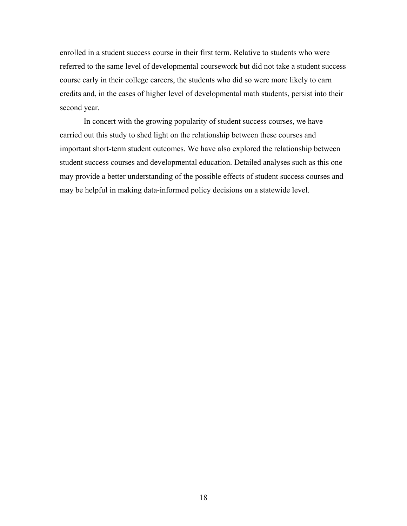enrolled in a student success course in their first term. Relative to students who were referred to the same level of developmental coursework but did not take a student success course early in their college careers, the students who did so were more likely to earn credits and, in the cases of higher level of developmental math students, persist into their second year.

In concert with the growing popularity of student success courses, we have carried out this study to shed light on the relationship between these courses and important short-term student outcomes. We have also explored the relationship between student success courses and developmental education. Detailed analyses such as this one may provide a better understanding of the possible effects of student success courses and may be helpful in making data-informed policy decisions on a statewide level.